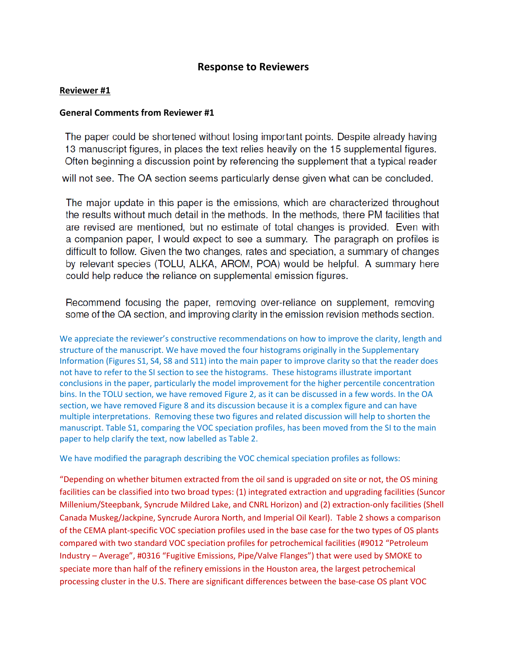# **Response to Reviewers**

### **Reviewer #1**

### **General Comments from Reviewer #1**

The paper could be shortened without losing important points. Despite already having 13 manuscript figures, in places the text relies heavily on the 15 supplemental figures. Often beginning a discussion point by referencing the supplement that a typical reader

will not see. The OA section seems particularly dense given what can be concluded.

The major update in this paper is the emissions, which are characterized throughout the results without much detail in the methods. In the methods, there PM facilities that are revised are mentioned, but no estimate of total changes is provided. Even with a companion paper, I would expect to see a summary. The paragraph on profiles is difficult to follow. Given the two changes, rates and speciation, a summary of changes by relevant species (TOLU, ALKA, AROM, POA) would be helpful. A summary here could help reduce the reliance on supplemental emission figures.

Recommend focusing the paper, removing over-reliance on supplement, removing some of the OA section, and improving clarity in the emission revision methods section.

We appreciate the reviewer's constructive recommendations on how to improve the clarity, length and structure of the manuscript. We have moved the four histograms originally in the Supplementary Information (Figures S1, S4, S8 and S11) into the main paper to improve clarity so that the reader does not have to refer to the SI section to see the histograms. These histograms illustrate important conclusions in the paper, particularly the model improvement for the higher percentile concentration bins. In the TOLU section, we have removed Figure 2, as it can be discussed in a few words. In the OA section, we have removed Figure 8 and its discussion because it is a complex figure and can have multiple interpretations. Removing these two figures and related discussion will help to shorten the manuscript. Table S1, comparing the VOC speciation profiles, has been moved from the SI to the main paper to help clarify the text, now labelled as Table 2.

We have modified the paragraph describing the VOC chemical speciation profiles as follows:

"Depending on whether bitumen extracted from the oil sand is upgraded on site or not, the OS mining facilities can be classified into two broad types: (1) integrated extraction and upgrading facilities (Suncor Millenium/Steepbank, Syncrude Mildred Lake, and CNRL Horizon) and (2) extraction-only facilities (Shell Canada Muskeg/Jackpine, Syncrude Aurora North, and Imperial Oil Kearl). Table 2 shows a comparison of the CEMA plant-specific VOC speciation profiles used in the base case for the two types of OS plants compared with two standard VOC speciation profiles for petrochemical facilities (#9012 "Petroleum Industry – Average", #0316 "Fugitive Emissions, Pipe/Valve Flanges") that were used by SMOKE to speciate more than half of the refinery emissions in the Houston area, the largest petrochemical processing cluster in the U.S. There are significant differences between the base-case OS plant VOC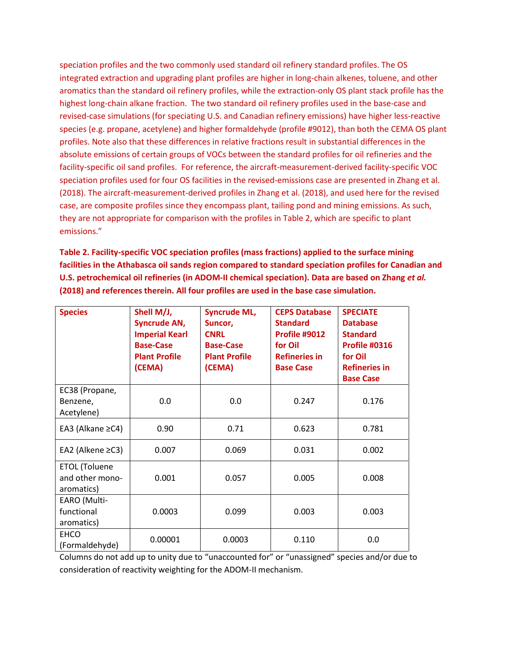speciation profiles and the two commonly used standard oil refinery standard profiles. The OS integrated extraction and upgrading plant profiles are higher in long-chain alkenes, toluene, and other aromatics than the standard oil refinery profiles, while the extraction-only OS plant stack profile has the highest long-chain alkane fraction. The two standard oil refinery profiles used in the base-case and revised-case simulations (for speciating U.S. and Canadian refinery emissions) have higher less-reactive species (e.g. propane, acetylene) and higher formaldehyde (profile #9012), than both the CEMA OS plant profiles. Note also that these differences in relative fractions result in substantial differences in the absolute emissions of certain groups of VOCs between the standard profiles for oil refineries and the facility-specific oil sand profiles. For reference, the aircraft-measurement-derived facility-specific VOC speciation profiles used for four OS facilities in the revised-emissions case are presented in Zhang et al. (2018). The aircraft-measurement-derived profiles in Zhang et al. (2018), and used here for the revised case, are composite profiles since they encompass plant, tailing pond and mining emissions. As such, they are not appropriate for comparison with the profiles in Table 2, which are specific to plant emissions."

**Table 2. Facility-specific VOC speciation profiles (mass fractions) applied to the surface mining facilities in the Athabasca oil sands region compared to standard speciation profiles for Canadian and U.S. petrochemical oil refineries (in ADOM-II chemical speciation). Data are based on Zhang** *et al.* **(2018) and references therein. All four profiles are used in the base case simulation.**

| <b>Species</b>                                        | Shell M/J,<br><b>Syncrude AN,</b><br><b>Imperial Kearl</b><br><b>Base-Case</b><br><b>Plant Profile</b><br>(CEMA) | <b>Syncrude ML,</b><br>Suncor,<br><b>CNRL</b><br><b>Base-Case</b><br><b>Plant Profile</b><br>(CEMA) | <b>CEPS Database</b><br><b>Standard</b><br>Profile #9012<br>for Oil<br><b>Refineries in</b><br><b>Base Case</b> | <b>SPECIATE</b><br><b>Database</b><br><b>Standard</b><br><b>Profile #0316</b><br>for Oil<br><b>Refineries in</b><br><b>Base Case</b> |  |
|-------------------------------------------------------|------------------------------------------------------------------------------------------------------------------|-----------------------------------------------------------------------------------------------------|-----------------------------------------------------------------------------------------------------------------|--------------------------------------------------------------------------------------------------------------------------------------|--|
| EC38 (Propane,<br>Benzene,<br>Acetylene)              | 0.0                                                                                                              | 0.0                                                                                                 | 0.247                                                                                                           | 0.176                                                                                                                                |  |
| EA3 (Alkane ≥C4)                                      | 0.90                                                                                                             | 0.71                                                                                                | 0.623                                                                                                           | 0.781                                                                                                                                |  |
| EA2 (Alkene ≥C3)                                      | 0.007                                                                                                            | 0.069                                                                                               | 0.031                                                                                                           | 0.002                                                                                                                                |  |
| <b>ETOL</b> (Toluene<br>and other mono-<br>aromatics) | 0.001                                                                                                            | 0.057                                                                                               | 0.005                                                                                                           | 0.008                                                                                                                                |  |
| EARO (Multi-<br>functional<br>aromatics)              | 0.0003                                                                                                           | 0.099                                                                                               | 0.003                                                                                                           | 0.003                                                                                                                                |  |
| <b>EHCO</b><br>(Formaldehyde)                         | 0.00001                                                                                                          | 0.0003                                                                                              | 0.110                                                                                                           | 0.0                                                                                                                                  |  |

Columns do not add up to unity due to "unaccounted for" or "unassigned" species and/or due to consideration of reactivity weighting for the ADOM-II mechanism.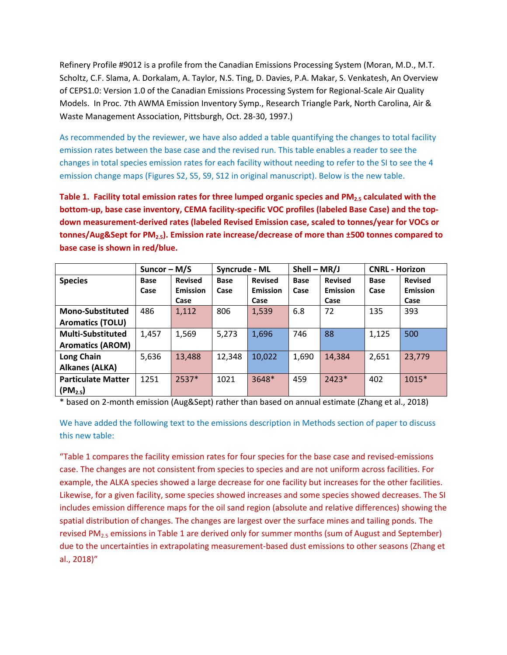Refinery Profile #9012 is a profile from the Canadian Emissions Processing System (Moran, M.D., M.T. Scholtz, C.F. Slama, A. Dorkalam, A. Taylor, N.S. Ting, D. Davies, P.A. Makar, S. Venkatesh, An Overview of CEPS1.0: Version 1.0 of the Canadian Emissions Processing System for Regional-Scale Air Quality Models. In Proc. 7th AWMA Emission Inventory Symp., Research Triangle Park, North Carolina, Air & Waste Management Association, Pittsburgh, Oct. 28-30, 1997.)

As recommended by the reviewer, we have also added a table quantifying the changes to total facility emission rates between the base case and the revised run. This table enables a reader to see the changes in total species emission rates for each facility without needing to refer to the SI to see the 4 emission change maps (Figures S2, S5, S9, S12 in original manuscript). Below is the new table.

**Table 1. Facility total emission rates for three lumped organic species and PM2.5 calculated with the bottom-up, base case inventory, CEMA facility-specific VOC profiles (labeled Base Case) and the topdown measurement-derived rates (labeled Revised Emission case, scaled to tonnes/year for VOCs or tonnes/Aug&Sept for PM2.5). Emission rate increase/decrease of more than ±500 tonnes compared to base case is shown in red/blue.**

|                           | Suncor – $M/S$ |                 | Syncrude - ML |                | $Shell - MR/J$ |                 | <b>CNRL - Horizon</b> |                |
|---------------------------|----------------|-----------------|---------------|----------------|----------------|-----------------|-----------------------|----------------|
| <b>Species</b>            | <b>Base</b>    | <b>Revised</b>  | <b>Base</b>   | <b>Revised</b> | <b>Base</b>    | <b>Revised</b>  | <b>Base</b>           | <b>Revised</b> |
|                           | Case           | <b>Emission</b> | Case          | Emission       | Case           | <b>Emission</b> | Case                  | Emission       |
|                           |                | Case            |               | Case           |                | Case            |                       | Case           |
| <b>Mono-Substituted</b>   | 486            | 1,112           | 806           | 1,539          | 6.8            | 72              | 135                   | 393            |
| <b>Aromatics (TOLU)</b>   |                |                 |               |                |                |                 |                       |                |
| <b>Multi-Substituted</b>  | 1,457          | 1,569           | 5,273         | 1,696          | 746            | 88              | 1,125                 | 500            |
| <b>Aromatics (AROM)</b>   |                |                 |               |                |                |                 |                       |                |
| Long Chain                | 5,636          | 13,488          | 12,348        | 10,022         | 1,690          | 14,384          | 2,651                 | 23,779         |
| <b>Alkanes (ALKA)</b>     |                |                 |               |                |                |                 |                       |                |
| <b>Particulate Matter</b> | 1251           | 2537*           | 1021          | 3648*          | 459            | 2423*           | 402                   | 1015*          |
| $(PM_{2.5})$              |                |                 |               |                |                |                 |                       |                |

\* based on 2-month emission (Aug&Sept) rather than based on annual estimate (Zhang et al., 2018)

We have added the following text to the emissions description in Methods section of paper to discuss this new table:

"Table 1 compares the facility emission rates for four species for the base case and revised-emissions case. The changes are not consistent from species to species and are not uniform across facilities. For example, the ALKA species showed a large decrease for one facility but increases for the other facilities. Likewise, for a given facility, some species showed increases and some species showed decreases. The SI includes emission difference maps for the oil sand region (absolute and relative differences) showing the spatial distribution of changes. The changes are largest over the surface mines and tailing ponds. The revised PM<sub>2.5</sub> emissions in Table 1 are derived only for summer months (sum of August and September) due to the uncertainties in extrapolating measurement-based dust emissions to other seasons (Zhang et al., 2018)"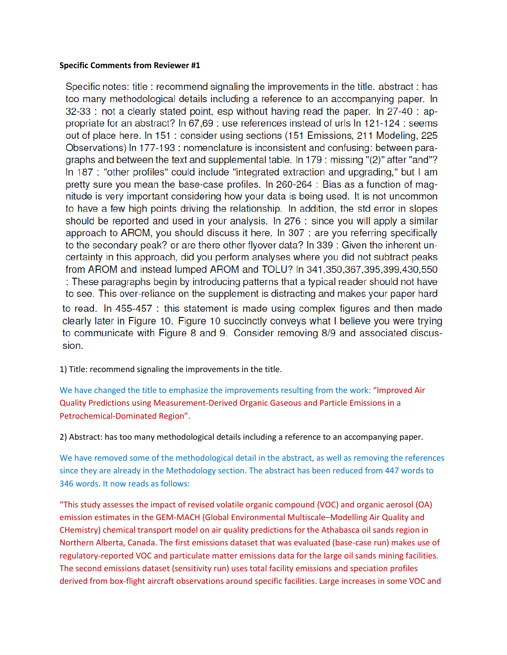#### **Specific Comments from Reviewer #1**

Specific notes: title : recommend signaling the improvements in the title, abstract : has too many methodological details including a reference to an accompanying paper. In 32-33 : not a clearly stated point, esp without having read the paper. In 27-40 : appropriate for an abstract? In 67,69 : use references instead of urls In 121-124 : seems out of place here. In 151 : consider using sections (151 Emissions, 211 Modeling, 225 Observations) In 177-193 : nomenclature is inconsistent and confusing: between paragraphs and between the text and supplemental table. In 179 : missing "(2)" after "and"? In 187: "other profiles" could include "integrated extraction and upgrading," but I am pretty sure you mean the base-case profiles. In 260-264 : Bias as a function of magnitude is very important considering how your data is being used. It is not uncommon to have a few high points driving the relationship. In addition, the std error in slopes should be reported and used in your analysis. In 276 : since you will apply a similar approach to AROM, you should discuss it here. In 307 : are you referring specifically to the secondary peak? or are there other flyover data? In 339 : Given the inherent uncertainty in this approach, did you perform analyses where you did not subtract peaks from AROM and instead lumped AROM and TOLU? In 341,350,367,395,399,430,550 : These paragraphs begin by introducing patterns that a typical reader should not have to see. This over-reliance on the supplement is distracting and makes your paper hard to read. In 455-457 : this statement is made using complex figures and then made clearly later in Figure 10. Figure 10 succinctly conveys what I believe you were trying to communicate with Figure 8 and 9. Consider removing 8/9 and associated discussion.

1) Title: recommend signaling the improvements in the title.

We have changed the title to emphasize the improvements resulting from the work: "Improved Air Quality Predictions using Measurement-Derived Organic Gaseous and Particle Emissions in a Petrochemical-Dominated Region".

2) Abstract: has too many methodological details including a reference to an accompanying paper.

We have removed some of the methodological detail in the abstract, as well as removing the references since they are already in the Methodology section. The abstract has been reduced from 447 words to 346 words. It now reads as follows:

"This study assesses the impact of revised volatile organic compound (VOC) and organic aerosol (OA) emission estimates in the GEM-MACH (Global Environmental Multiscale–Modelling Air Quality and CHemistry) chemical transport model on air quality predictions for the Athabasca oil sands region in Northern Alberta, Canada. The first emissions dataset that was evaluated (base-case run) makes use of regulatory-reported VOC and particulate matter emissions data for the large oil sands mining facilities. The second emissions dataset (sensitivity run) uses total facility emissions and speciation profiles derived from box-flight aircraft observations around specific facilities. Large increases in some VOC and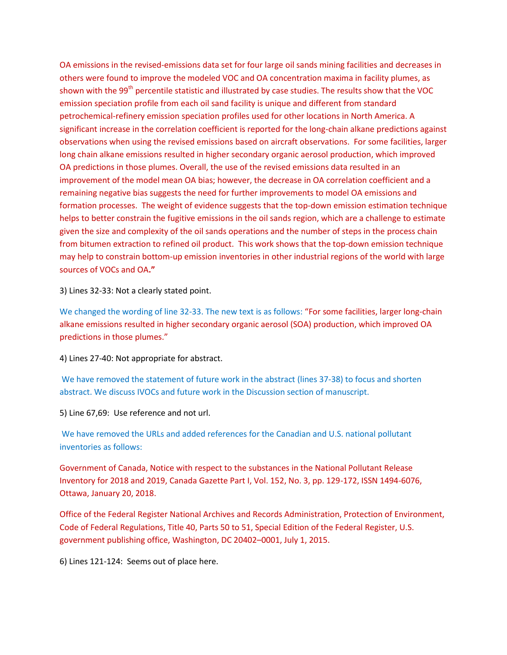OA emissions in the revised-emissions data set for four large oil sands mining facilities and decreases in others were found to improve the modeled VOC and OA concentration maxima in facility plumes, as shown with the 99<sup>th</sup> percentile statistic and illustrated by case studies. The results show that the VOC emission speciation profile from each oil sand facility is unique and different from standard petrochemical-refinery emission speciation profiles used for other locations in North America. A significant increase in the correlation coefficient is reported for the long-chain alkane predictions against observations when using the revised emissions based on aircraft observations. For some facilities, larger long chain alkane emissions resulted in higher secondary organic aerosol production, which improved OA predictions in those plumes. Overall, the use of the revised emissions data resulted in an improvement of the model mean OA bias; however, the decrease in OA correlation coefficient and a remaining negative bias suggests the need for further improvements to model OA emissions and formation processes. The weight of evidence suggests that the top-down emission estimation technique helps to better constrain the fugitive emissions in the oil sands region, which are a challenge to estimate given the size and complexity of the oil sands operations and the number of steps in the process chain from bitumen extraction to refined oil product. This work shows that the top-down emission technique may help to constrain bottom-up emission inventories in other industrial regions of the world with large sources of VOCs and OA**."**

3) Lines 32-33: Not a clearly stated point.

We changed the wording of line 32-33. The new text is as follows: "For some facilities, larger long-chain alkane emissions resulted in higher secondary organic aerosol (SOA) production, which improved OA predictions in those plumes."

4) Lines 27-40: Not appropriate for abstract.

We have removed the statement of future work in the abstract (lines 37-38) to focus and shorten abstract. We discuss IVOCs and future work in the Discussion section of manuscript.

5) Line 67,69: Use reference and not url.

We have removed the URLs and added references for the Canadian and U.S. national pollutant inventories as follows:

Government of Canada, Notice with respect to the substances in the National Pollutant Release Inventory for 2018 and 2019, Canada Gazette Part I, Vol. 152, No. 3, pp. 129-172, ISSN 1494-6076, Ottawa, January 20, 2018.

Office of the Federal Register National Archives and Records Administration, Protection of Environment, Code of Federal Regulations, Title 40, Parts 50 to 51, Special Edition of the Federal Register, U.S. government publishing office, Washington, DC 20402–0001, July 1, 2015.

6) Lines 121-124: Seems out of place here.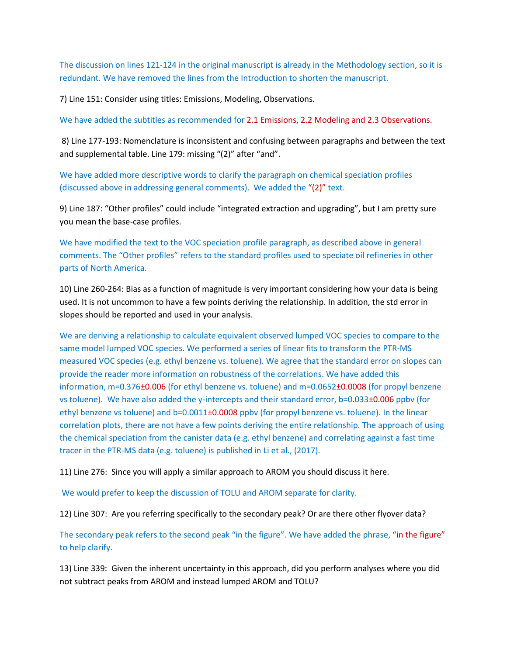The discussion on lines 121-124 in the original manuscript is already in the Methodology section, so it is redundant. We have removed the lines from the Introduction to shorten the manuscript.

7) Line 151: Consider using titles: Emissions, Modeling, Observations.

We have added the subtitles as recommended for 2.1 Emissions, 2.2 Modeling and 2.3 Observations.

8) Line 177-193: Nomenclature is inconsistent and confusing between paragraphs and between the text and supplemental table. Line 179: missing "(2)" after "and".

We have added more descriptive words to clarify the paragraph on chemical speciation profiles (discussed above in addressing general comments). We added the "(2)" text.

9) Line 187: "Other profiles" could include "integrated extraction and upgrading", but I am pretty sure you mean the base-case profiles.

We have modified the text to the VOC speciation profile paragraph, as described above in general comments. The "Other profiles" refers to the standard profiles used to speciate oil refineries in other parts of North America.

10) Line 260-264: Bias as a function of magnitude is very important considering how your data is being used. It is not uncommon to have a few points deriving the relationship. In addition, the std error in slopes should be reported and used in your analysis.

We are deriving a relationship to calculate equivalent observed lumped VOC species to compare to the same model lumped VOC species. We performed a series of linear fits to transform the PTR-MS measured VOC species (e.g. ethyl benzene vs. toluene). We agree that the standard error on slopes can provide the reader more information on robustness of the correlations. We have added this information, m=0.376±0.006 (for ethyl benzene vs. toluene) and m=0.0652±0.0008 (for propyl benzene vs toluene). We have also added the y-intercepts and their standard error, b=0.033±0.006 ppbv (for ethyl benzene vs toluene) and b=0.0011±0.0008 ppbv (for propyl benzene vs. toluene). In the linear correlation plots, there are not have a few points deriving the entire relationship. The approach of using the chemical speciation from the canister data (e.g. ethyl benzene) and correlating against a fast time tracer in the PTR-MS data (e.g. toluene) is published in Li et al., (2017).

11) Line 276: Since you will apply a similar approach to AROM you should discuss it here.

We would prefer to keep the discussion of TOLU and AROM separate for clarity.

12) Line 307: Are you referring specifically to the secondary peak? Or are there other flyover data?

The secondary peak refers to the second peak "in the figure". We have added the phrase, "in the figure" to help clarify.

13) Line 339: Given the inherent uncertainty in this approach, did you perform analyses where you did not subtract peaks from AROM and instead lumped AROM and TOLU?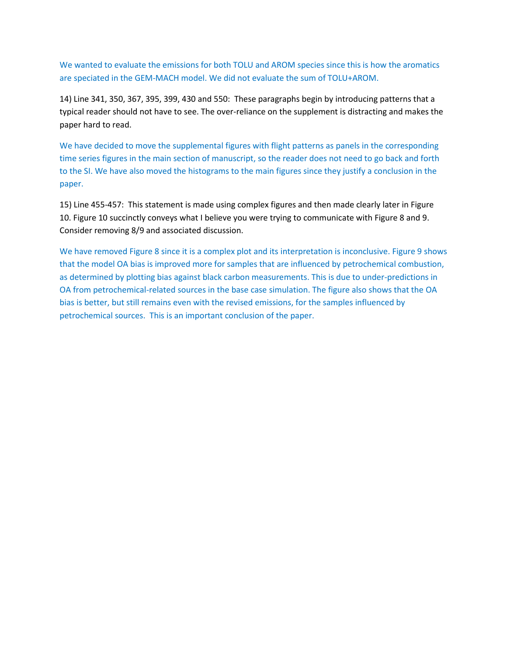We wanted to evaluate the emissions for both TOLU and AROM species since this is how the aromatics are speciated in the GEM-MACH model. We did not evaluate the sum of TOLU+AROM.

14) Line 341, 350, 367, 395, 399, 430 and 550: These paragraphs begin by introducing patterns that a typical reader should not have to see. The over-reliance on the supplement is distracting and makes the paper hard to read.

We have decided to move the supplemental figures with flight patterns as panels in the corresponding time series figures in the main section of manuscript, so the reader does not need to go back and forth to the SI. We have also moved the histograms to the main figures since they justify a conclusion in the paper.

15) Line 455-457: This statement is made using complex figures and then made clearly later in Figure 10. Figure 10 succinctly conveys what I believe you were trying to communicate with Figure 8 and 9. Consider removing 8/9 and associated discussion.

We have removed Figure 8 since it is a complex plot and its interpretation is inconclusive. Figure 9 shows that the model OA bias is improved more for samples that are influenced by petrochemical combustion, as determined by plotting bias against black carbon measurements. This is due to under-predictions in OA from petrochemical-related sources in the base case simulation. The figure also shows that the OA bias is better, but still remains even with the revised emissions, for the samples influenced by petrochemical sources. This is an important conclusion of the paper.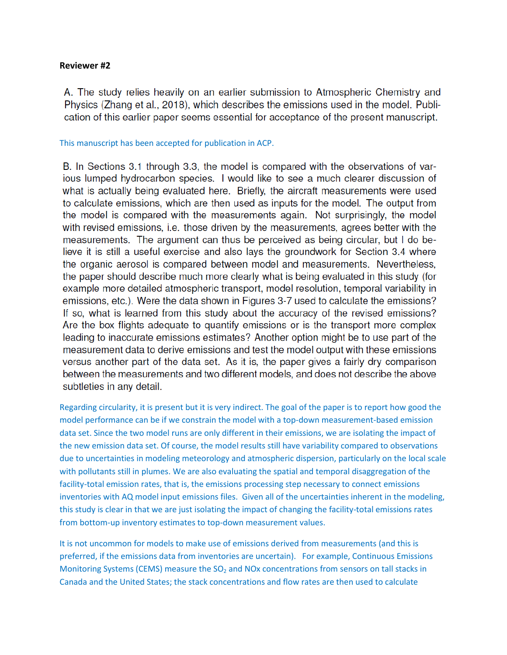### **Reviewer #2**

A. The study relies heavily on an earlier submission to Atmospheric Chemistry and Physics (Zhang et al., 2018), which describes the emissions used in the model. Publication of this earlier paper seems essential for acceptance of the present manuscript.

### This manuscript has been accepted for publication in ACP.

B. In Sections 3.1 through 3.3, the model is compared with the observations of varjous lumped hydrocarbon species. I would like to see a much clearer discussion of what is actually being evaluated here. Briefly, the aircraft measurements were used to calculate emissions, which are then used as inputs for the model. The output from the model is compared with the measurements again. Not surprisingly, the model with revised emissions, i.e. those driven by the measurements, agrees better with the measurements. The argument can thus be perceived as being circular, but I do believe it is still a useful exercise and also lays the groundwork for Section 3.4 where the organic aerosol is compared between model and measurements. Nevertheless, the paper should describe much more clearly what is being evaluated in this study (for example more detailed atmospheric transport, model resolution, temporal variability in emissions, etc.). Were the data shown in Figures 3-7 used to calculate the emissions? If so, what is learned from this study about the accuracy of the revised emissions? Are the box flights adequate to quantify emissions or is the transport more complex leading to inaccurate emissions estimates? Another option might be to use part of the measurement data to derive emissions and test the model output with these emissions versus another part of the data set. As it is, the paper gives a fairly dry comparison between the measurements and two different models, and does not describe the above subtleties in any detail.

Regarding circularity, it is present but it is very indirect. The goal of the paper is to report how good the model performance can be if we constrain the model with a top-down measurement-based emission data set. Since the two model runs are only different in their emissions, we are isolating the impact of the new emission data set. Of course, the model results still have variability compared to observations due to uncertainties in modeling meteorology and atmospheric dispersion, particularly on the local scale with pollutants still in plumes. We are also evaluating the spatial and temporal disaggregation of the facility-total emission rates, that is, the emissions processing step necessary to connect emissions inventories with AQ model input emissions files. Given all of the uncertainties inherent in the modeling, this study is clear in that we are just isolating the impact of changing the facility-total emissions rates from bottom-up inventory estimates to top-down measurement values.

It is not uncommon for models to make use of emissions derived from measurements (and this is preferred, if the emissions data from inventories are uncertain). For example, Continuous Emissions Monitoring Systems (CEMS) measure the  $SO<sub>2</sub>$  and NOx concentrations from sensors on tall stacks in Canada and the United States; the stack concentrations and flow rates are then used to calculate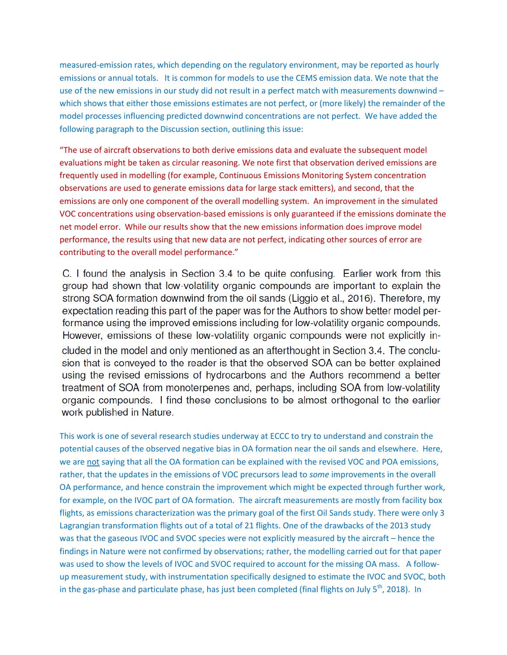measured-emission rates, which depending on the regulatory environment, may be reported as hourly emissions or annual totals. It is common for models to use the CEMS emission data. We note that the use of the new emissions in our study did not result in a perfect match with measurements downwind – which shows that either those emissions estimates are not perfect, or (more likely) the remainder of the model processes influencing predicted downwind concentrations are not perfect. We have added the following paragraph to the Discussion section, outlining this issue:

"The use of aircraft observations to both derive emissions data and evaluate the subsequent model evaluations might be taken as circular reasoning. We note first that observation derived emissions are frequently used in modelling (for example, Continuous Emissions Monitoring System concentration observations are used to generate emissions data for large stack emitters), and second, that the emissions are only one component of the overall modelling system. An improvement in the simulated VOC concentrations using observation-based emissions is only guaranteed if the emissions dominate the net model error. While our results show that the new emissions information does improve model performance, the results using that new data are not perfect, indicating other sources of error are contributing to the overall model performance."

C. I found the analysis in Section 3.4 to be quite confusing. Earlier work from this group had shown that low-volatility organic compounds are important to explain the strong SOA formation downwind from the oil sands (Liggio et al., 2016). Therefore, my expectation reading this part of the paper was for the Authors to show better model performance using the improved emissions including for low-volatility organic compounds. However, emissions of these low-volatility organic compounds were not explicitly included in the model and only mentioned as an afterthought in Section 3.4. The conclusion that is conveyed to the reader is that the observed SOA can be better explained using the revised emissions of hydrocarbons and the Authors recommend a better treatment of SOA from monoterpenes and, perhaps, including SOA from low-volatility organic compounds. I find these conclusions to be almost orthogonal to the earlier work published in Nature.

This work is one of several research studies underway at ECCC to try to understand and constrain the potential causes of the observed negative bias in OA formation near the oil sands and elsewhere. Here, we are not saying that all the OA formation can be explained with the revised VOC and POA emissions, rather, that the updates in the emissions of VOC precursors lead to *some* improvements in the overall OA performance, and hence constrain the improvement which might be expected through further work, for example, on the IVOC part of OA formation. The aircraft measurements are mostly from facility box flights, as emissions characterization was the primary goal of the first Oil Sands study. There were only 3 Lagrangian transformation flights out of a total of 21 flights. One of the drawbacks of the 2013 study was that the gaseous IVOC and SVOC species were not explicitly measured by the aircraft – hence the findings in Nature were not confirmed by observations; rather, the modelling carried out for that paper was used to show the levels of IVOC and SVOC required to account for the missing OA mass. A followup measurement study, with instrumentation specifically designed to estimate the IVOC and SVOC, both in the gas-phase and particulate phase, has just been completed (final flights on July  $5^{th}$ , 2018). In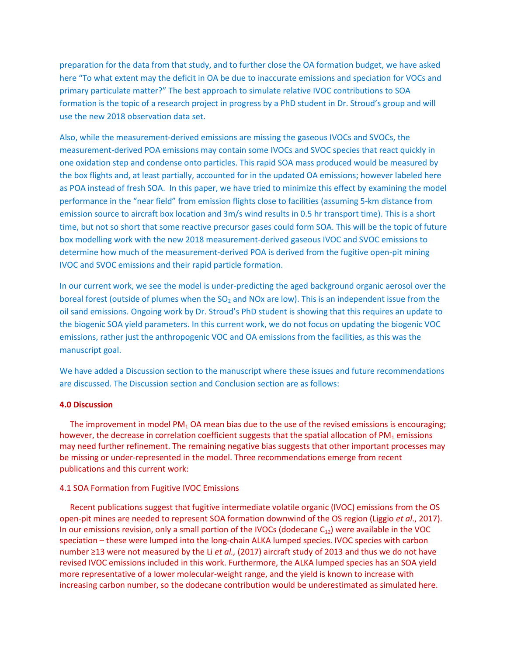preparation for the data from that study, and to further close the OA formation budget, we have asked here "To what extent may the deficit in OA be due to inaccurate emissions and speciation for VOCs and primary particulate matter?" The best approach to simulate relative IVOC contributions to SOA formation is the topic of a research project in progress by a PhD student in Dr. Stroud's group and will use the new 2018 observation data set.

Also, while the measurement-derived emissions are missing the gaseous IVOCs and SVOCs, the measurement-derived POA emissions may contain some IVOCs and SVOC species that react quickly in one oxidation step and condense onto particles. This rapid SOA mass produced would be measured by the box flights and, at least partially, accounted for in the updated OA emissions; however labeled here as POA instead of fresh SOA. In this paper, we have tried to minimize this effect by examining the model performance in the "near field" from emission flights close to facilities (assuming 5-km distance from emission source to aircraft box location and 3m/s wind results in 0.5 hr transport time). This is a short time, but not so short that some reactive precursor gases could form SOA. This will be the topic of future box modelling work with the new 2018 measurement-derived gaseous IVOC and SVOC emissions to determine how much of the measurement-derived POA is derived from the fugitive open-pit mining IVOC and SVOC emissions and their rapid particle formation.

In our current work, we see the model is under-predicting the aged background organic aerosol over the boreal forest (outside of plumes when the  $SO<sub>2</sub>$  and NOx are low). This is an independent issue from the oil sand emissions. Ongoing work by Dr. Stroud's PhD student is showing that this requires an update to the biogenic SOA yield parameters. In this current work, we do not focus on updating the biogenic VOC emissions, rather just the anthropogenic VOC and OA emissions from the facilities, as this was the manuscript goal.

We have added a Discussion section to the manuscript where these issues and future recommendations are discussed. The Discussion section and Conclusion section are as follows:

### **4.0 Discussion**

The improvement in model  $PM<sub>1</sub>$  OA mean bias due to the use of the revised emissions is encouraging; however, the decrease in correlation coefficient suggests that the spatial allocation of  $PM_1$  emissions may need further refinement. The remaining negative bias suggests that other important processes may be missing or under-represented in the model. Three recommendations emerge from recent publications and this current work:

#### 4.1 SOA Formation from Fugitive IVOC Emissions

 Recent publications suggest that fugitive intermediate volatile organic (IVOC) emissions from the OS open-pit mines are needed to represent SOA formation downwind of the OS region (Liggio *et al*., 2017). In our emissions revision, only a small portion of the IVOCs (dodecane  $C_{12}$ ) were available in the VOC speciation – these were lumped into the long-chain ALKA lumped species. IVOC species with carbon number ≥13 were not measured by the Li *et al.,* (2017) aircraft study of 2013 and thus we do not have revised IVOC emissions included in this work. Furthermore, the ALKA lumped species has an SOA yield more representative of a lower molecular-weight range, and the yield is known to increase with increasing carbon number, so the dodecane contribution would be underestimated as simulated here.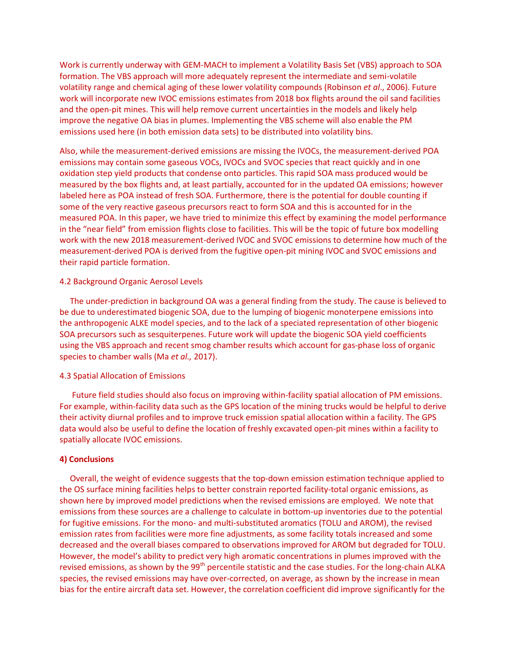Work is currently underway with GEM-MACH to implement a Volatility Basis Set (VBS) approach to SOA formation. The VBS approach will more adequately represent the intermediate and semi-volatile volatility range and chemical aging of these lower volatility compounds (Robinson *et al*., 2006). Future work will incorporate new IVOC emissions estimates from 2018 box flights around the oil sand facilities and the open-pit mines. This will help remove current uncertainties in the models and likely help improve the negative OA bias in plumes. Implementing the VBS scheme will also enable the PM emissions used here (in both emission data sets) to be distributed into volatility bins.

Also, while the measurement-derived emissions are missing the IVOCs, the measurement-derived POA emissions may contain some gaseous VOCs, IVOCs and SVOC species that react quickly and in one oxidation step yield products that condense onto particles. This rapid SOA mass produced would be measured by the box flights and, at least partially, accounted for in the updated OA emissions; however labeled here as POA instead of fresh SOA. Furthermore, there is the potential for double counting if some of the very reactive gaseous precursors react to form SOA and this is accounted for in the measured POA. In this paper, we have tried to minimize this effect by examining the model performance in the "near field" from emission flights close to facilities. This will be the topic of future box modelling work with the new 2018 measurement-derived IVOC and SVOC emissions to determine how much of the measurement-derived POA is derived from the fugitive open-pit mining IVOC and SVOC emissions and their rapid particle formation.

#### 4.2 Background Organic Aerosol Levels

 The under-prediction in background OA was a general finding from the study. The cause is believed to be due to underestimated biogenic SOA, due to the lumping of biogenic monoterpene emissions into the anthropogenic ALKE model species, and to the lack of a speciated representation of other biogenic SOA precursors such as sesquiterpenes. Future work will update the biogenic SOA yield coefficients using the VBS approach and recent smog chamber results which account for gas-phase loss of organic species to chamber walls (Ma *et al.,* 2017).

#### 4.3 Spatial Allocation of Emissions

 Future field studies should also focus on improving within-facility spatial allocation of PM emissions. For example, within-facility data such as the GPS location of the mining trucks would be helpful to derive their activity diurnal profiles and to improve truck emission spatial allocation within a facility. The GPS data would also be useful to define the location of freshly excavated open-pit mines within a facility to spatially allocate IVOC emissions.

#### **4) Conclusions**

 Overall, the weight of evidence suggests that the top-down emission estimation technique applied to the OS surface mining facilities helps to better constrain reported facility-total organic emissions, as shown here by improved model predictions when the revised emissions are employed. We note that emissions from these sources are a challenge to calculate in bottom-up inventories due to the potential for fugitive emissions. For the mono- and multi-substituted aromatics (TOLU and AROM), the revised emission rates from facilities were more fine adjustments, as some facility totals increased and some decreased and the overall biases compared to observations improved for AROM but degraded for TOLU. However, the model's ability to predict very high aromatic concentrations in plumes improved with the revised emissions, as shown by the 99<sup>th</sup> percentile statistic and the case studies. For the long-chain ALKA species, the revised emissions may have over-corrected, on average, as shown by the increase in mean bias for the entire aircraft data set. However, the correlation coefficient did improve significantly for the